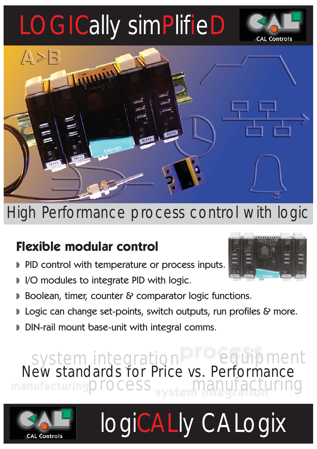# LOGICally simPlifieD

**CAL Controls** 



High Performance process control with logic

### **Flexible modular control**

- PID control with temperature or process inputs.
- I/O modules to integrate PID with logic.
- Boolean, timer, counter & comparator logic functions.
- Logic can change set-points, switch outputs, run profiles & more.
- DIN-rail mount base-unit with integral comms.

 New standards for Price vs. Performance manufacturing **Process** system integration equipment

logiCALly CALogix